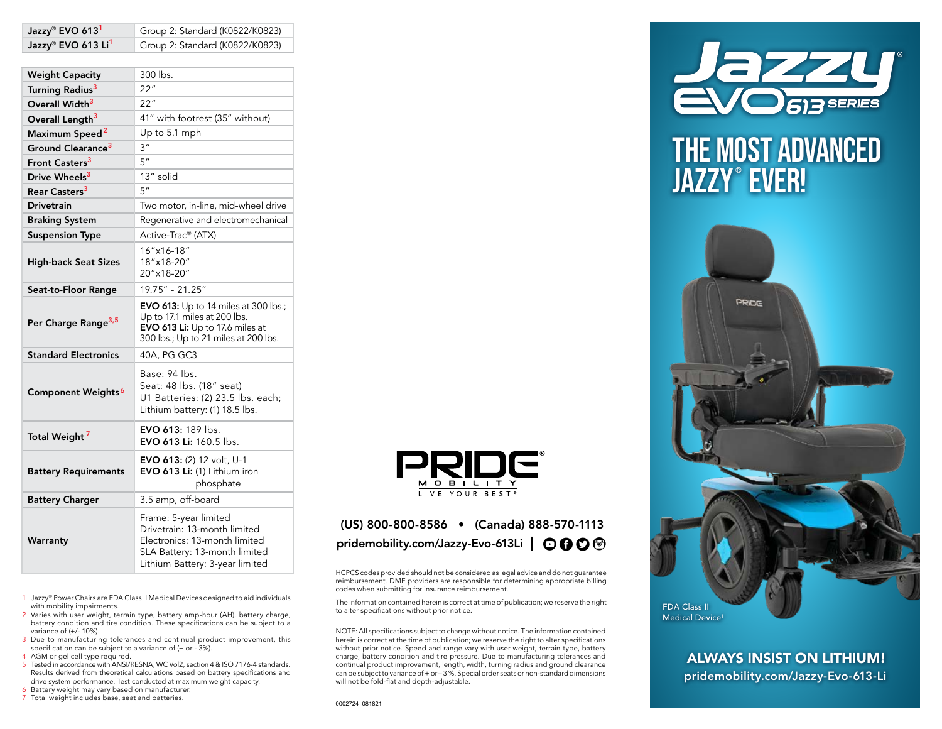| Jazzy® EVO 613 Li <sup>1</sup>  | Group 2: Standard (K0822/K0823)                                                                                                                            |
|---------------------------------|------------------------------------------------------------------------------------------------------------------------------------------------------------|
|                                 |                                                                                                                                                            |
| <b>Weight Capacity</b>          | 300 lbs.                                                                                                                                                   |
| Turning Radius <sup>3</sup>     | 22"                                                                                                                                                        |
| Overall Width <sup>3</sup>      | 22"                                                                                                                                                        |
| Overall Length <sup>3</sup>     | 41" with footrest (35" without)                                                                                                                            |
| Maximum Speed <sup>2</sup>      | Up to 5.1 mph                                                                                                                                              |
| Ground Clearance <sup>3</sup>   | 3 <sup>''</sup>                                                                                                                                            |
| Front Casters <sup>3</sup>      | 5''                                                                                                                                                        |
| Drive Wheels <sup>3</sup>       | 13" solid                                                                                                                                                  |
| Rear Casters <sup>3</sup>       | 5''                                                                                                                                                        |
| <b>Drivetrain</b>               | Two motor, in-line, mid-wheel drive                                                                                                                        |
| <b>Braking System</b>           | Regenerative and electromechanical                                                                                                                         |
| <b>Suspension Type</b>          | Active-Trac® (ATX)                                                                                                                                         |
| <b>High-back Seat Sizes</b>     | 16"x16-18"<br>18"x18-20"<br>20"x18-20"                                                                                                                     |
| Seat-to-Floor Range             | 19.75" - 21.25"                                                                                                                                            |
| Per Charge Range <sup>3,5</sup> | EVO 613: Up to 14 miles at 300 lbs.;<br>Up to 17.1 miles at 200 lbs.<br><b>EVO 613 Li:</b> Up to 17.6 miles at<br>300 lbs.; Up to 21 miles at 200 lbs.     |
| <b>Standard Electronics</b>     | 40A, PG GC3                                                                                                                                                |
| Component Weights <sup>6</sup>  | Base: 94 lbs.<br>Seat: 48 lbs. (18" seat)<br>U1 Batteries: (2) 23.5 lbs. each;<br>Lithium battery: (1) 18.5 lbs.                                           |
| Total Weight <sup>7</sup>       | <b>EVO 613: 189 lbs.</b><br><b>EVO 613 Li:</b> 160.5 lbs.                                                                                                  |
| <b>Battery Requirements</b>     | EVO 613: (2) 12 volt, U-1<br>EVO 613 Li: (1) Lithium iron<br>phosphate                                                                                     |
| <b>Battery Charger</b>          | 3.5 amp, off-board                                                                                                                                         |
| Warranty                        | Frame: 5-year limited<br>Drivetrain: 13-month limited<br>Electronics: 13-month limited<br>SLA Battery: 13-month limited<br>Lithium Battery: 3-year limited |

 $\text{Jazzv}^{\text{®}}$  EVO 613<sup>1</sup> Group 2: Standard (K0822/K0823)

- 1 Jazzy® Power Chairs are FDA Class II Medical Devices designed to aid individuals with mobility impairments.
- 2 Varies with user weight, terrain type, battery amp-hour (AH), battery charge, battery condition and tire condition. These specifications can be subject to a variance of (+/- 10%).
- 3 Due to manufacturing tolerances and continual product improvement, this specification can be subject to a variance of (+ or - 3%).
- 4 AGM or gel cell type required.
- 5 Tested in accordance with ANSI/RESNA, WC Vol2, section 4 & ISO 7176-4 standards. Results derived from theoretical calculations based on battery specifications and drive system performance. Test conducted at maximum weight capacity.
- 6 Battery weight may vary based on manufacturer.
- 7 Total weight includes base, seat and batteries.



## (US) 800-800-8586 • (Canada) 888-570-1113 pridemobility.com/Jazzy-Evo-613Li  $\Box$   $\odot$   $\odot$   $\odot$   $\odot$

HCPCS codes provided should not be considered as legal advice and do not guarantee reimbursement. DME providers are responsible for determining appropriate billing codes when submitting for insurance reimbursement.

The information contained herein is correct at time of publication; we reserve the right to alter specifications without prior notice.

NOTE: All specifications subject to change without notice. The information contained herein is correct at the time of publication; we reserve the right to alter specifications without prior notice. Speed and range vary with user weight, terrain type, battery charge, battery condition and tire pressure. Due to manufacturing tolerances and continual product improvement, length, width, turning radius and ground clearance can be subject to variance of + or – 3 %. Special order seats or non-standard dimensions will not be fold-flat and depth-adjustable.



# THE MOST ADVANCED JAZZY® EVER!



ALWAYS INSIST ON LITHIUM! pridemobility.com/Jazzy-Evo-613-Li